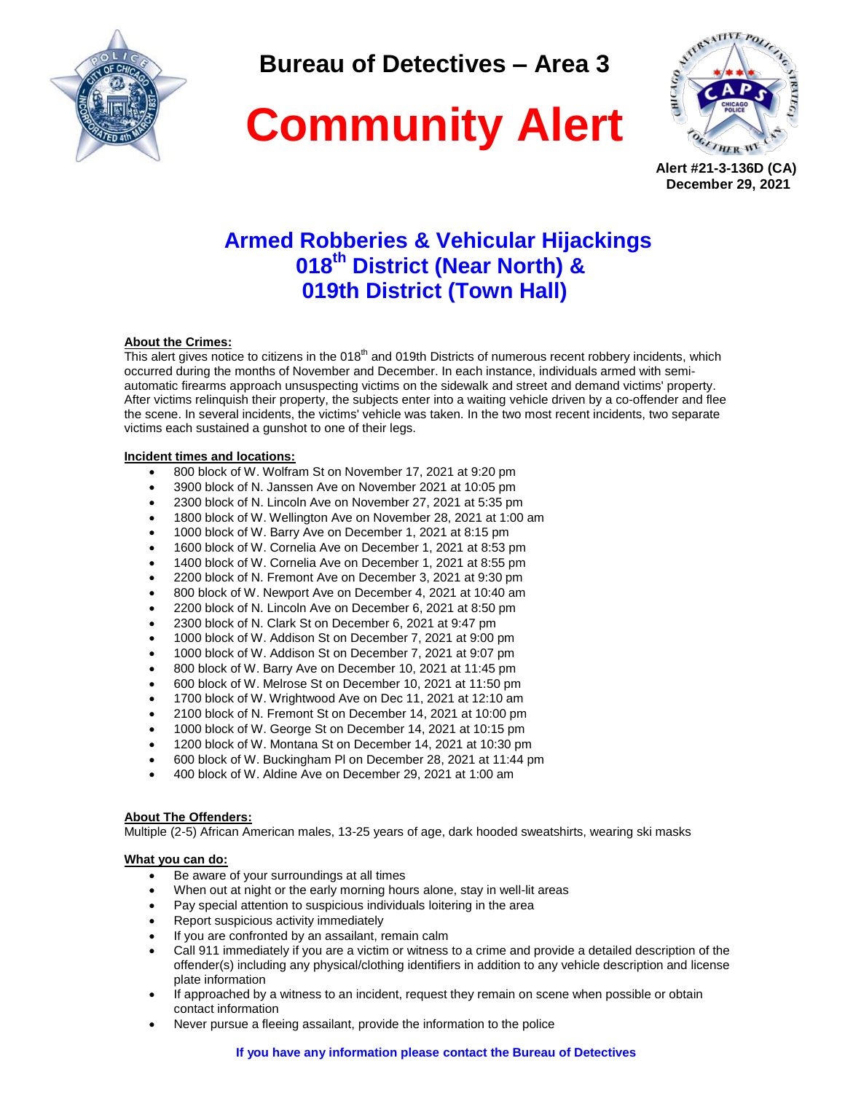

**Bureau of Detectives – Area 3**

# **Community Alert**



**Alert #21-3-136D (CA) December 29, 2021** 

## **Armed Robberies & Vehicular Hijackings 018th District (Near North) & 019th District (Town Hall)**

### **About the Crimes:**

This alert gives notice to citizens in the 018<sup>th</sup> and 019th Districts of numerous recent robbery incidents, which occurred during the months of November and December. In each instance, individuals armed with semiautomatic firearms approach unsuspecting victims on the sidewalk and street and demand victims' property. After victims relinquish their property, the subjects enter into a waiting vehicle driven by a co-offender and flee the scene. In several incidents, the victims' vehicle was taken. In the two most recent incidents, two separate victims each sustained a gunshot to one of their legs.

#### **Incident times and locations:**

- 800 block of W. Wolfram St on November 17, 2021 at 9:20 pm
- 3900 block of N. Janssen Ave on November 2021 at 10:05 pm
- 2300 block of N. Lincoln Ave on November 27, 2021 at 5:35 pm
- 1800 block of W. Wellington Ave on November 28, 2021 at 1:00 am
- 1000 block of W. Barry Ave on December 1, 2021 at 8:15 pm
- 1600 block of W. Cornelia Ave on December 1, 2021 at 8:53 pm
- 1400 block of W. Cornelia Ave on December 1, 2021 at 8:55 pm
- 2200 block of N. Fremont Ave on December 3, 2021 at 9:30 pm
- 800 block of W. Newport Ave on December 4, 2021 at 10:40 am
- 2200 block of N. Lincoln Ave on December 6, 2021 at 8:50 pm
- 2300 block of N. Clark St on December 6, 2021 at 9:47 pm
- 1000 block of W. Addison St on December 7, 2021 at 9:00 pm
- 1000 block of W. Addison St on December 7, 2021 at 9:07 pm
- 800 block of W. Barry Ave on December 10, 2021 at 11:45 pm
- 600 block of W. Melrose St on December 10, 2021 at 11:50 pm
- 1700 block of W. Wrightwood Ave on Dec 11, 2021 at 12:10 am
- 2100 block of N. Fremont St on December 14, 2021 at 10:00 pm
- 1000 block of W. George St on December 14, 2021 at 10:15 pm
- 1200 block of W. Montana St on December 14, 2021 at 10:30 pm
- 600 block of W. Buckingham Pl on December 28, 2021 at 11:44 pm
- 400 block of W. Aldine Ave on December 29, 2021 at 1:00 am

#### **About The Offenders:**

Multiple (2-5) African American males, 13-25 years of age, dark hooded sweatshirts, wearing ski masks

#### **What you can do:**

- Be aware of your surroundings at all times
- When out at night or the early morning hours alone, stay in well-lit areas
- Pay special attention to suspicious individuals loitering in the area
- Report suspicious activity immediately
- If you are confronted by an assailant, remain calm
- Call 911 immediately if you are a victim or witness to a crime and provide a detailed description of the offender(s) including any physical/clothing identifiers in addition to any vehicle description and license plate information
- If approached by a witness to an incident, request they remain on scene when possible or obtain contact information
- Never pursue a fleeing assailant, provide the information to the police